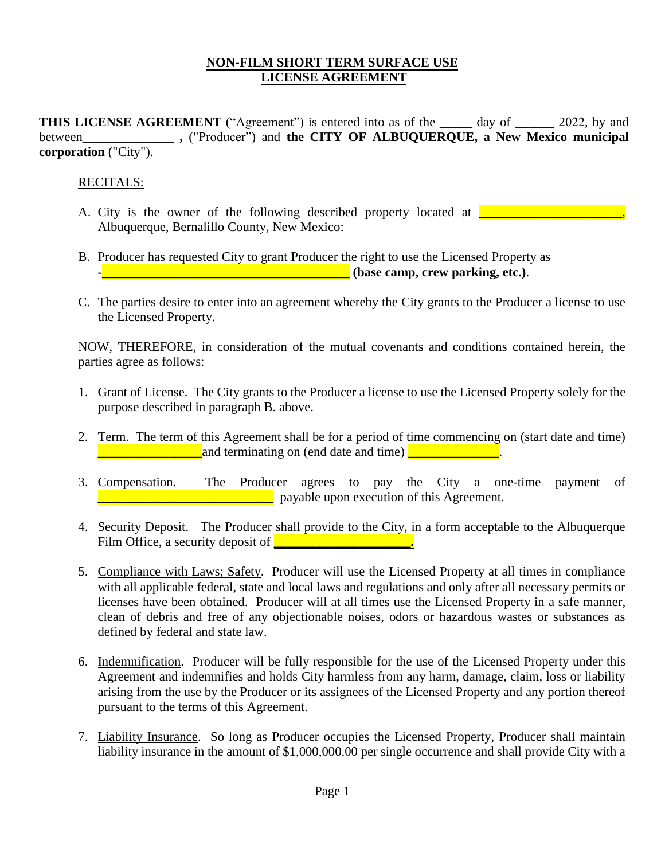## **NON-FILM SHORT TERM SURFACE USE LICENSE AGREEMENT**

**THIS LICENSE AGREEMENT** ("Agreement") is entered into as of the day of 2022, by and between **,** ("Producer") and **the CITY OF ALBUQUERQUE, a New Mexico municipal corporation** ("City").

## RECITALS:

- A. City is the owner of the following described property located at **Lease Community** Albuquerque, Bernalillo County, New Mexico:
- B. Producer has requested City to grant Producer the right to use the Licensed Property as **-** *letter and <b>i* **letter and <b>***letter and <b>i* (base camp, crew parking, etc.).
- C. The parties desire to enter into an agreement whereby the City grants to the Producer a license to use the Licensed Property.

NOW, THEREFORE, in consideration of the mutual covenants and conditions contained herein, the parties agree as follows:

- 1. Grant of License. The City grants to the Producer a license to use the Licensed Property solely for the purpose described in paragraph B. above.
- 2. Term. The term of this Agreement shall be for a period of time commencing on (start date and time) **EXECUTE:** And terminating on (end date and time) **DECUTE:** And the same of the same of the same of the same of the same of the same of the same of the same of the same of the same of the same of the same of the same of th
- 3. Compensation. The Producer agrees to pay the City a one-time payment of *L* **z z payable upon execution of this Agreement.**
- 4. Security Deposit. The Producer shall provide to the City, in a form acceptable to the Albuquerque Film Office, a security deposit of **we can also also contained a**
- 5. Compliance with Laws; Safety. Producer will use the Licensed Property at all times in compliance with all applicable federal, state and local laws and regulations and only after all necessary permits or licenses have been obtained. Producer will at all times use the Licensed Property in a safe manner, clean of debris and free of any objectionable noises, odors or hazardous wastes or substances as defined by federal and state law.
- 6. Indemnification. Producer will be fully responsible for the use of the Licensed Property under this Agreement and indemnifies and holds City harmless from any harm, damage, claim, loss or liability arising from the use by the Producer or its assignees of the Licensed Property and any portion thereof pursuant to the terms of this Agreement.
- 7. Liability Insurance. So long as Producer occupies the Licensed Property, Producer shall maintain liability insurance in the amount of \$1,000,000.00 per single occurrence and shall provide City with a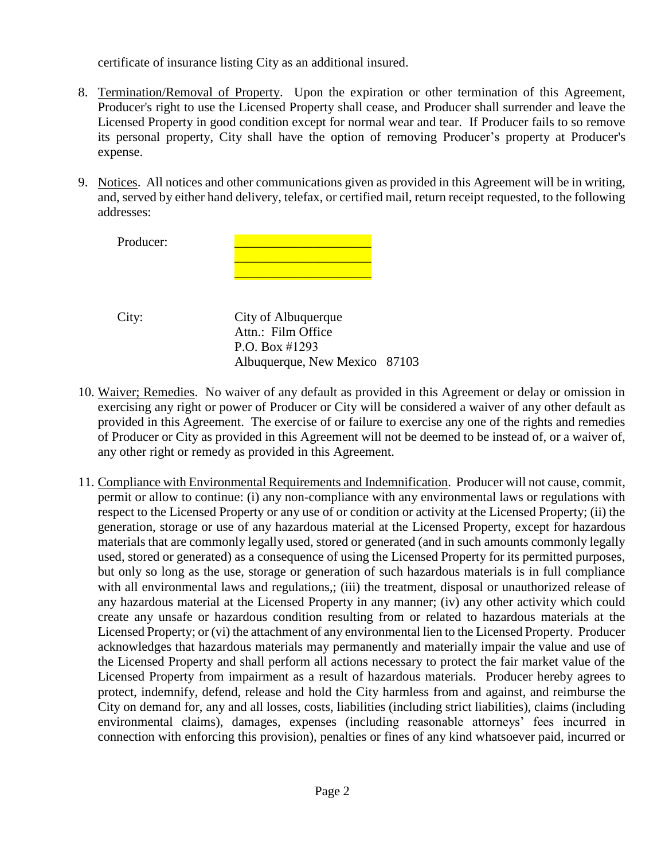certificate of insurance listing City as an additional insured.

- 8. Termination/Removal of Property. Upon the expiration or other termination of this Agreement, Producer's right to use the Licensed Property shall cease, and Producer shall surrender and leave the Licensed Property in good condition except for normal wear and tear. If Producer fails to so remove its personal property, City shall have the option of removing Producer's property at Producer's expense.
- 9. Notices. All notices and other communications given as provided in this Agreement will be in writing, and, served by either hand delivery, telefax, or certified mail, return receipt requested, to the following addresses:

Producer:

City: City of Albuquerque Attn.: Film Office P.O. Box #1293 Albuquerque, New Mexico 87103

\_\_\_\_\_\_\_\_\_\_\_\_\_\_\_\_\_\_\_\_\_ \_\_\_\_\_\_\_\_\_\_\_\_\_\_\_\_\_\_\_\_\_

- 10. Waiver; Remedies. No waiver of any default as provided in this Agreement or delay or omission in exercising any right or power of Producer or City will be considered a waiver of any other default as provided in this Agreement. The exercise of or failure to exercise any one of the rights and remedies of Producer or City as provided in this Agreement will not be deemed to be instead of, or a waiver of, any other right or remedy as provided in this Agreement.
- 11. Compliance with Environmental Requirements and Indemnification. Producer will not cause, commit, permit or allow to continue: (i) any non-compliance with any environmental laws or regulations with respect to the Licensed Property or any use of or condition or activity at the Licensed Property; (ii) the generation, storage or use of any hazardous material at the Licensed Property, except for hazardous materials that are commonly legally used, stored or generated (and in such amounts commonly legally used, stored or generated) as a consequence of using the Licensed Property for its permitted purposes, but only so long as the use, storage or generation of such hazardous materials is in full compliance with all environmental laws and regulations,; (iii) the treatment, disposal or unauthorized release of any hazardous material at the Licensed Property in any manner; (iv) any other activity which could create any unsafe or hazardous condition resulting from or related to hazardous materials at the Licensed Property; or (vi) the attachment of any environmental lien to the Licensed Property. Producer acknowledges that hazardous materials may permanently and materially impair the value and use of the Licensed Property and shall perform all actions necessary to protect the fair market value of the Licensed Property from impairment as a result of hazardous materials. Producer hereby agrees to protect, indemnify, defend, release and hold the City harmless from and against, and reimburse the City on demand for, any and all losses, costs, liabilities (including strict liabilities), claims (including environmental claims), damages, expenses (including reasonable attorneys' fees incurred in connection with enforcing this provision), penalties or fines of any kind whatsoever paid, incurred or